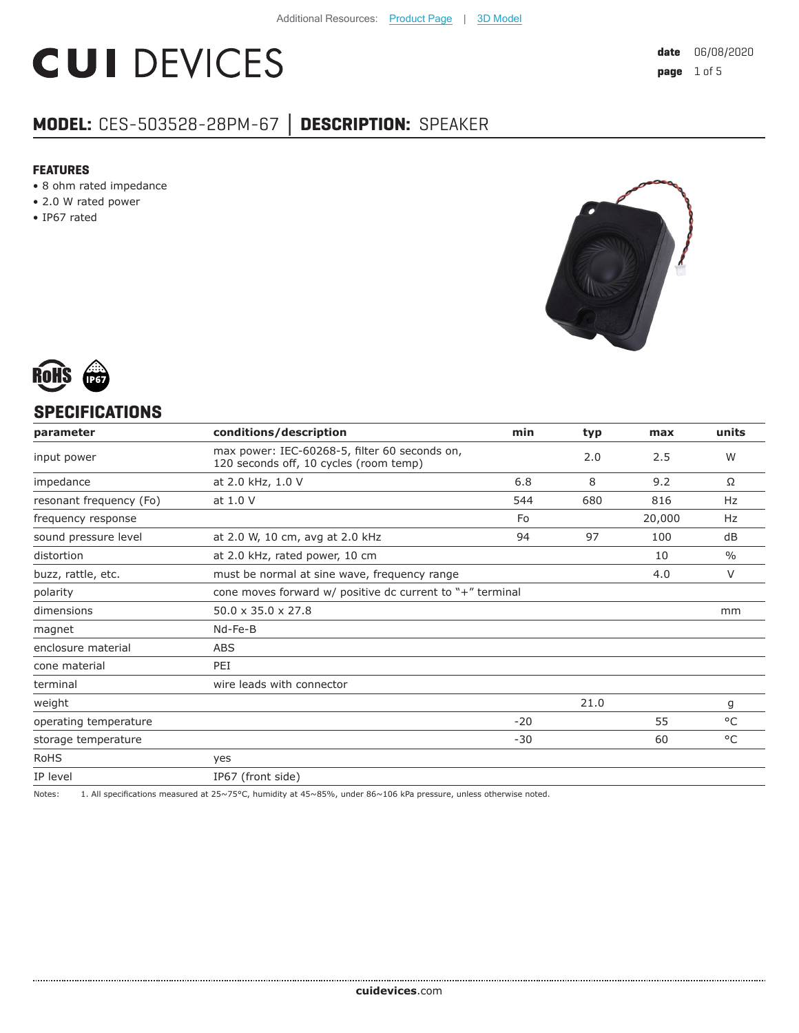# **CUI DEVICES**

## **MODEL:** CES-503528-28PM-67 **│ DESCRIPTION:** SPEAKER

#### **FEATURES**

- 8 ohm rated impedance
- 2.0 W rated power
- IP67 rated





#### **SPECIFICATIONS**

| parameter               | conditions/description                                                                  | min   | typ  | max    | units         |
|-------------------------|-----------------------------------------------------------------------------------------|-------|------|--------|---------------|
| input power             | max power: IEC-60268-5, filter 60 seconds on,<br>120 seconds off, 10 cycles (room temp) |       | 2.0  | 2.5    | W             |
| impedance               | at 2.0 kHz, 1.0 V                                                                       | 6.8   | 8    | 9.2    | Ω             |
| resonant frequency (Fo) | at 1.0 V                                                                                | 544   | 680  | 816    | Hz            |
| frequency response      |                                                                                         | Fo    |      | 20,000 | Hz            |
| sound pressure level    | at 2.0 W, 10 cm, avg at 2.0 kHz                                                         | 94    | 97   | 100    | dB            |
| distortion              | at 2.0 kHz, rated power, 10 cm                                                          |       |      | 10     | $\frac{0}{0}$ |
| buzz, rattle, etc.      | must be normal at sine wave, frequency range                                            |       |      | 4.0    | V             |
| polarity                | cone moves forward $w/$ positive dc current to "+" terminal                             |       |      |        |               |
| dimensions              | $50.0 \times 35.0 \times 27.8$                                                          |       |      |        | mm            |
| magnet                  | Nd-Fe-B                                                                                 |       |      |        |               |
| enclosure material      | ABS                                                                                     |       |      |        |               |
| cone material           | PEI                                                                                     |       |      |        |               |
| terminal                | wire leads with connector                                                               |       |      |        |               |
| weight                  |                                                                                         |       | 21.0 |        | g             |
| operating temperature   |                                                                                         | $-20$ |      | 55     | $^{\circ}$ C  |
| storage temperature     |                                                                                         | $-30$ |      | 60     | °C            |
| RoHS                    | yes                                                                                     |       |      |        |               |
| IP level                | IP67 (front side)                                                                       |       |      |        |               |

Notes: 1. All specifications measured at 25~75°C, humidity at 45~85%, under 86~106 kPa pressure, unless otherwise noted.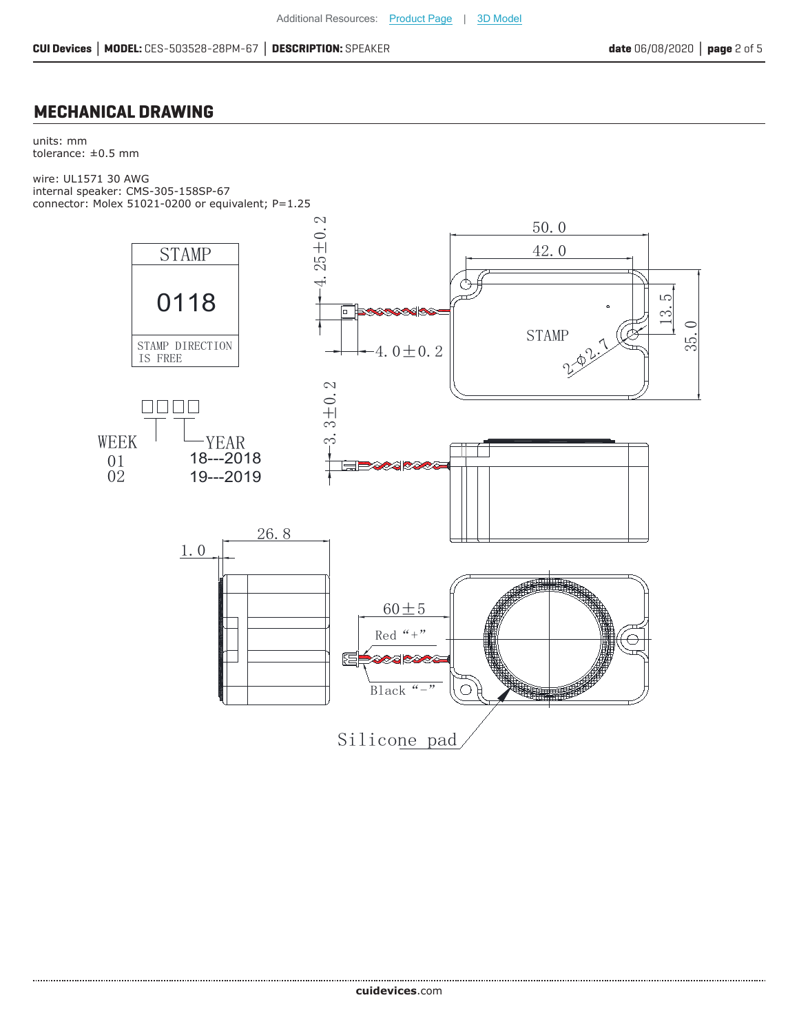#### **MECHANICAL DRAWING**

units: mm tolerance:  $\pm 0.5$  mm

wire: UL1571 30 AWG internal speaker: CMS-305-158SP-67 connector: Molex 51021-0200 or equivalent; P=1.25

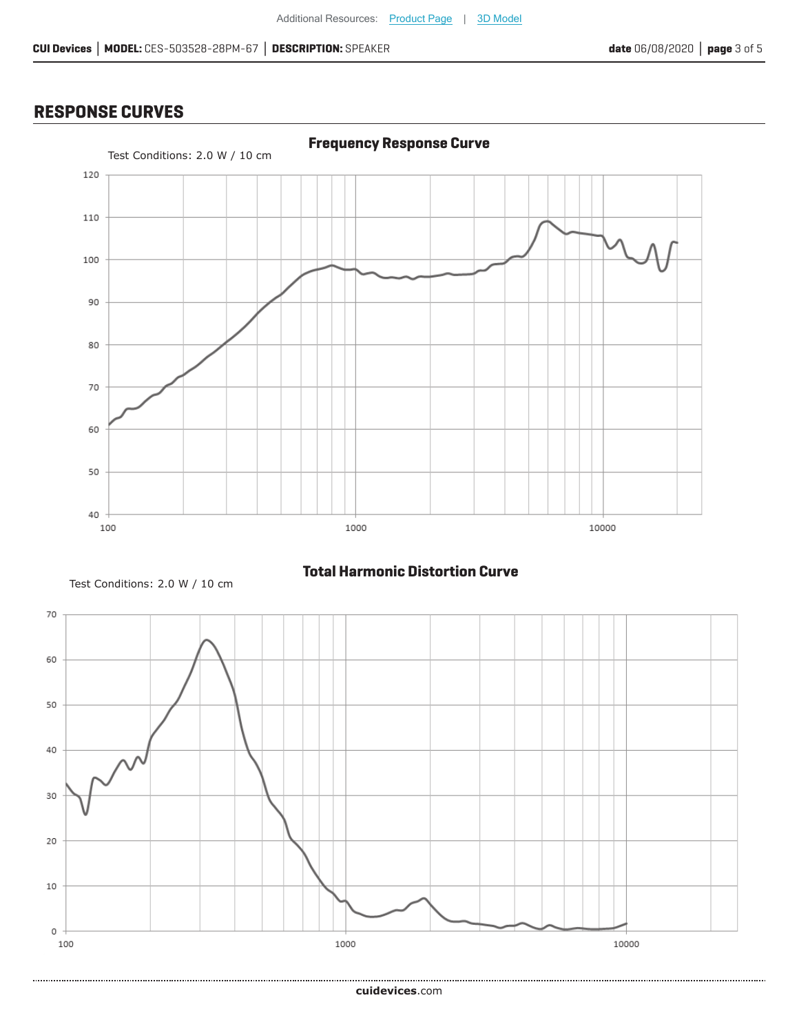### **RESPONSE CURVES**



Test Conditions: 2.0 W / 10 cm

**Total Harmonic Distortion Curve**

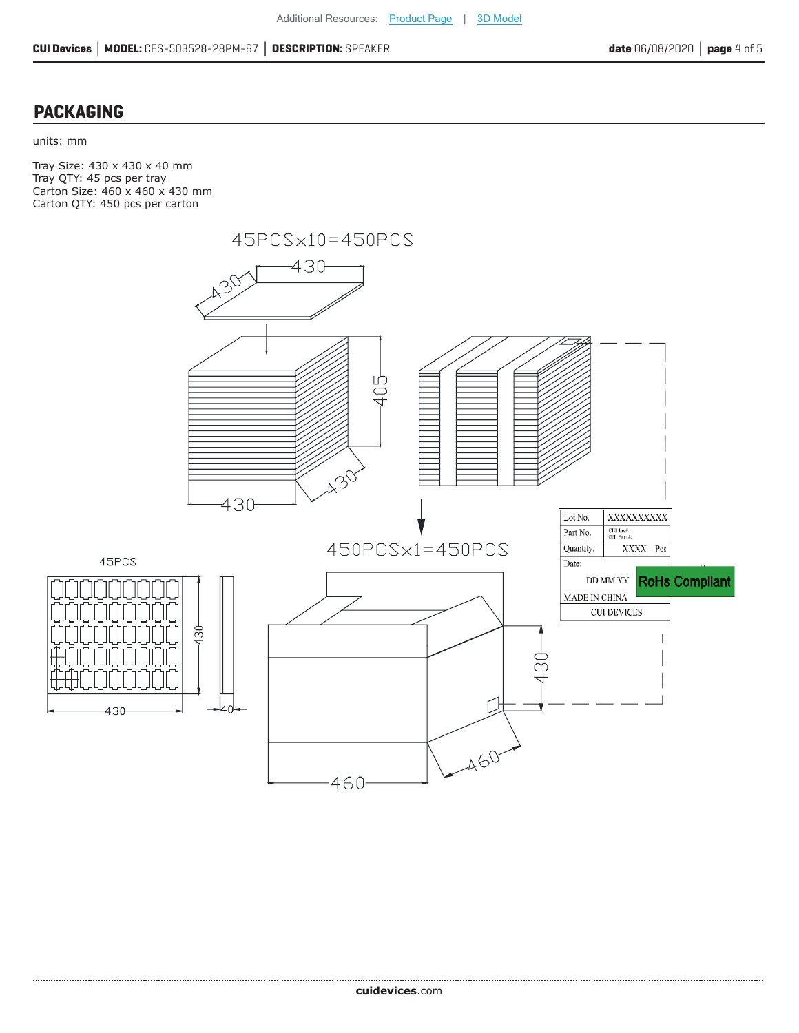#### **PACKAGING**

#### units: mm

Tray Size: 430 x 430 x 40 mm Tray QTY: 45 pcs per tray Carton Size: 460 x 460 x 430 mm Carton QTY: 450 pcs per carton